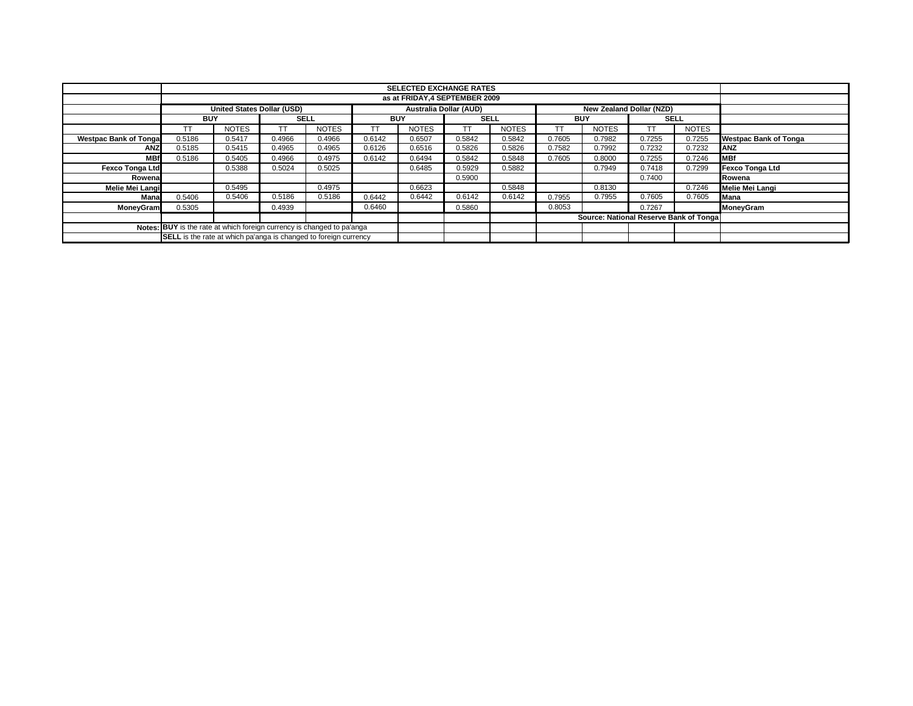|                                                                         |            | <b>SELECTED EXCHANGE RATES</b>    |             |              |            |                               |             |              |            |                                        |             |              |                              |
|-------------------------------------------------------------------------|------------|-----------------------------------|-------------|--------------|------------|-------------------------------|-------------|--------------|------------|----------------------------------------|-------------|--------------|------------------------------|
|                                                                         |            | as at FRIDAY.4 SEPTEMBER 2009     |             |              |            |                               |             |              |            |                                        |             |              |                              |
|                                                                         |            | <b>United States Dollar (USD)</b> |             |              |            | <b>Australia Dollar (AUD)</b> |             |              |            | New Zealand Dollar (NZD)               |             |              |                              |
|                                                                         | <b>BUY</b> |                                   | <b>SELL</b> |              | <b>BUY</b> |                               | <b>SELL</b> |              | <b>BUY</b> |                                        | <b>SELL</b> |              |                              |
|                                                                         | TT         | <b>NOTES</b>                      |             | <b>NOTES</b> | <b>TT</b>  | <b>NOTES</b>                  | TΤ          | <b>NOTES</b> | ТT         | <b>NOTES</b>                           |             | <b>NOTES</b> |                              |
| <b>Westpac Bank of Tonga</b>                                            | 0.5186     | 0.5417                            | 0.4966      | 0.4966       | 0.6142     | 0.6507                        | 0.5842      | 0.5842       | 0.7605     | 0.7982                                 | 0.7255      | 0.7255       | <b>Westpac Bank of Tonga</b> |
| <b>ANZ</b>                                                              | 0.5185     | 0.5415                            | 0.4965      | 0.4965       | 0.6126     | 0.6516                        | 0.5826      | 0.5826       | 0.7582     | 0.7992                                 | 0.7232      | 0.7232       | ANZ                          |
| <b>MBf</b>                                                              | 0.5186     | 0.5405                            | 0.4966      | 0.4975       | 0.6142     | 0.6494                        | 0.5842      | 0.5848       | 0.7605     | 0.8000                                 | 0.7255      | 0.7246       | <b>MBf</b>                   |
| <b>Fexco Tonga Ltd</b>                                                  |            | 0.5388                            | 0.5024      | 0.5025       |            | 0.6485                        | 0.5929      | 0.5882       |            | 0.7949                                 | 0.7418      | 0.7299       | Fexco Tonga Ltd              |
| Rowenal                                                                 |            |                                   |             |              |            |                               | 0.5900      |              |            |                                        | 0.7400      |              | Rowena                       |
| Melie Mei Langi                                                         |            | 0.5495                            |             | 0.4975       |            | 0.6623                        |             | 0.5848       |            | 0.8130                                 |             | 0.7246       | Melie Mei Langi              |
| Mana                                                                    | 0.5406     | 0.5406                            | 0.5186      | 0.5186       | 0.6442     | 0.6442                        | 0.6142      | 0.6142       | 0.7955     | 0.7955                                 | 0.7605      | 0.7605       | Mana                         |
| MoneyGram                                                               | 0.5305     |                                   | 0.4939      |              | 0.6460     |                               | 0.5860      |              | 0.8053     |                                        | 0.7267      |              | MoneyGram                    |
|                                                                         |            |                                   |             |              |            |                               |             |              |            | Source: National Reserve Bank of Tonga |             |              |                              |
| Notes: BUY is the rate at which foreign currency is changed to pa'anga  |            |                                   |             |              |            |                               |             |              |            |                                        |             |              |                              |
| <b>SELL</b> is the rate at which pa'anga is changed to foreign currency |            |                                   |             |              |            |                               |             |              |            |                                        |             |              |                              |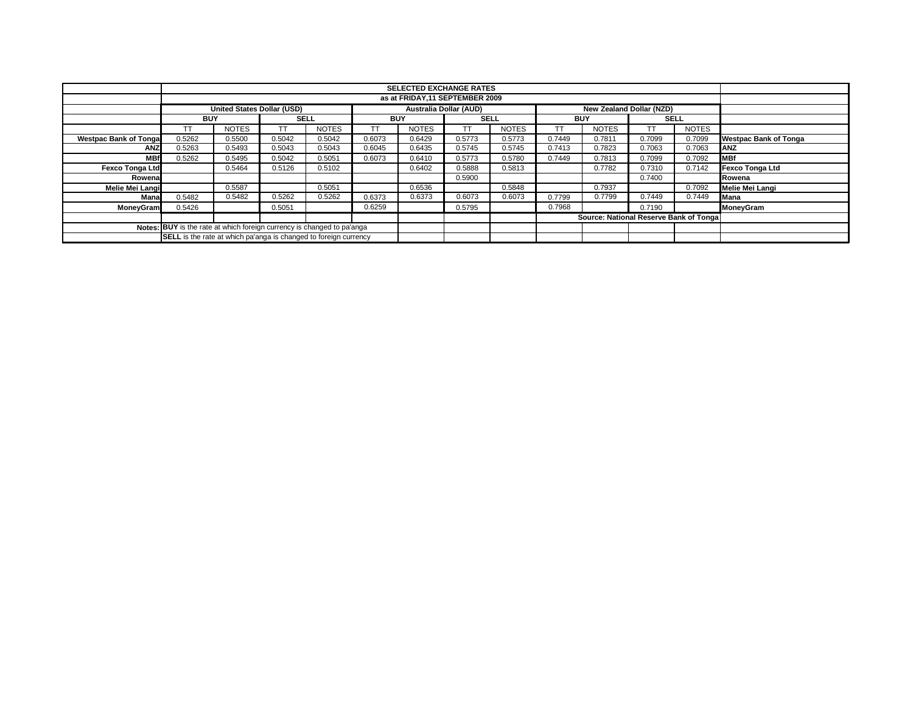|                                                                        |                                                                  | <b>SELECTED EXCHANGE RATES</b>    |             |              |            |                               |             |              |                          |                                        |             |              |                              |
|------------------------------------------------------------------------|------------------------------------------------------------------|-----------------------------------|-------------|--------------|------------|-------------------------------|-------------|--------------|--------------------------|----------------------------------------|-------------|--------------|------------------------------|
|                                                                        |                                                                  | as at FRIDAY.11 SEPTEMBER 2009    |             |              |            |                               |             |              |                          |                                        |             |              |                              |
|                                                                        |                                                                  | <b>United States Dollar (USD)</b> |             |              |            | <b>Australia Dollar (AUD)</b> |             |              | New Zealand Dollar (NZD) |                                        |             |              |                              |
|                                                                        | <b>BUY</b>                                                       |                                   | <b>SELL</b> |              | <b>BUY</b> |                               | <b>SELL</b> |              | <b>BUY</b>               |                                        | <b>SELL</b> |              |                              |
|                                                                        | TT                                                               | <b>NOTES</b>                      | <b>TT</b>   | <b>NOTES</b> | <b>TT</b>  | <b>NOTES</b>                  | TΤ          | <b>NOTES</b> | ТT                       | <b>NOTES</b>                           | <b>TT</b>   | <b>NOTES</b> |                              |
| <b>Westpac Bank of Tonga</b>                                           | 0.5262                                                           | 0.5500                            | 0.5042      | 0.5042       | 0.6073     | 0.6429                        | 0.5773      | 0.5773       | 0.7449                   | 0.7811                                 | 0.7099      | 0.7099       | <b>Westpac Bank of Tonga</b> |
| <b>ANZ</b>                                                             | 0.5263                                                           | 0.5493                            | 0.5043      | 0.5043       | 0.6045     | 0.6435                        | 0.5745      | 0.5745       | 0.7413                   | 0.7823                                 | 0.7063      | 0.7063       | <b>ANZ</b>                   |
| <b>MBf</b>                                                             | 0.5262                                                           | 0.5495                            | 0.5042      | 0.5051       | 0.6073     | 0.6410                        | 0.5773      | 0.5780       | 0.7449                   | 0.7813                                 | 0.7099      | 0.7092       | <b>MBf</b>                   |
| <b>Fexco Tonga Ltd</b>                                                 |                                                                  | 0.5464                            | 0.5126      | 0.5102       |            | 0.6402                        | 0.5888      | 0.5813       |                          | 0.7782                                 | 0.7310      | 0.7142       | <b>Fexco Tonga Ltd</b>       |
| Rowena                                                                 |                                                                  |                                   |             |              |            |                               | 0.5900      |              |                          |                                        | 0.7400      |              | Rowena                       |
| Melie Mei Langi                                                        |                                                                  | 0.5587                            |             | 0.5051       |            | 0.6536                        |             | 0.5848       |                          | 0.7937                                 |             | 0.7092       | Melie Mei Langi              |
| Mana                                                                   | 0.5482                                                           | 0.5482                            | 0.5262      | 0.5262       | 0.6373     | 0.6373                        | 0.6073      | 0.6073       | 0.7799                   | 0.7799                                 | 0.7449      | 0.7449       | Mana                         |
| MoneyGram                                                              | 0.5426                                                           |                                   | 0.5051      |              | 0.6259     |                               | 0.5795      |              | 0.7968                   |                                        | 0.7190      |              | MoneyGram                    |
|                                                                        |                                                                  |                                   |             |              |            |                               |             |              |                          | Source: National Reserve Bank of Tonga |             |              |                              |
| Notes: BUY is the rate at which foreign currency is changed to pa'anga |                                                                  |                                   |             |              |            |                               |             |              |                          |                                        |             |              |                              |
|                                                                        | SELL is the rate at which pa'anga is changed to foreign currency |                                   |             |              |            |                               |             |              |                          |                                        |             |              |                              |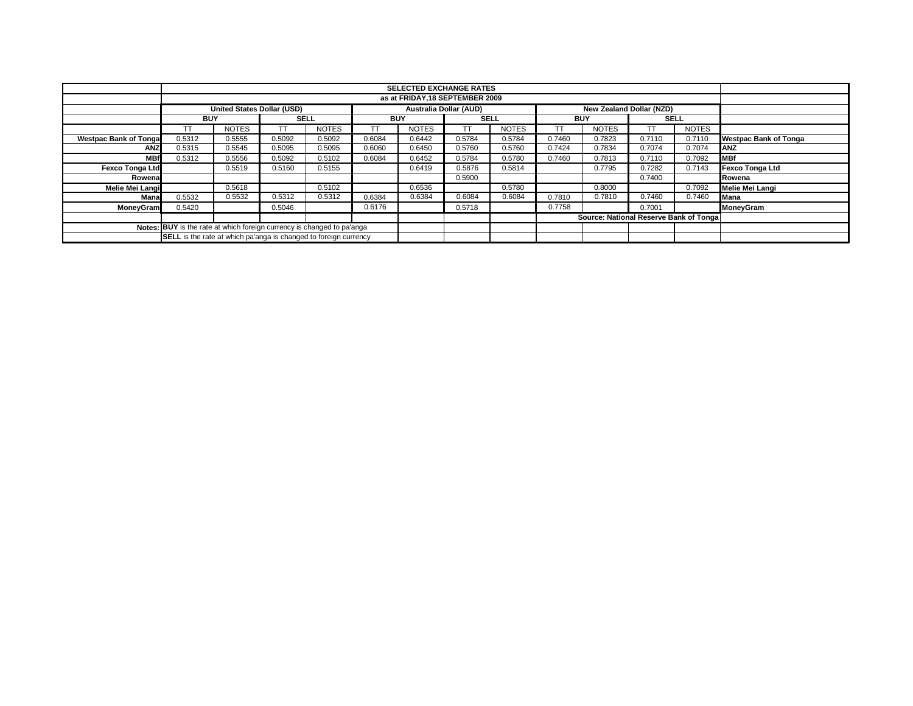|                                                                         |            | <b>SELECTED EXCHANGE RATES</b>    |             |              |            |                               |             |              |            |                                        |             |              |                              |
|-------------------------------------------------------------------------|------------|-----------------------------------|-------------|--------------|------------|-------------------------------|-------------|--------------|------------|----------------------------------------|-------------|--------------|------------------------------|
|                                                                         |            | as at FRIDAY, 18 SEPTEMBER 2009   |             |              |            |                               |             |              |            |                                        |             |              |                              |
|                                                                         |            | <b>United States Dollar (USD)</b> |             |              |            | <b>Australia Dollar (AUD)</b> |             |              |            | New Zealand Dollar (NZD)               |             |              |                              |
|                                                                         | <b>BUY</b> |                                   | <b>SELL</b> |              | <b>BUY</b> |                               | <b>SELL</b> |              | <b>BUY</b> |                                        | <b>SELL</b> |              |                              |
|                                                                         | ТT         | <b>NOTES</b>                      |             | <b>NOTES</b> | <b>TT</b>  | <b>NOTES</b>                  | TΤ          | <b>NOTES</b> | ТT         | <b>NOTES</b>                           |             | <b>NOTES</b> |                              |
| <b>Westpac Bank of Tonga</b>                                            | 0.5312     | 0.5555                            | 0.5092      | 0.5092       | 0.6084     | 0.6442                        | 0.5784      | 0.5784       | 0.7460     | 0.7823                                 | 0.7110      | 0.7110       | <b>Westpac Bank of Tonga</b> |
| <b>ANZ</b>                                                              | 0.5315     | 0.5545                            | 0.5095      | 0.5095       | 0.6060     | 0.6450                        | 0.5760      | 0.5760       | 0.7424     | 0.7834                                 | 0.7074      | 0.7074       | <b>ANZ</b>                   |
| <b>MBf</b>                                                              | 0.5312     | 0.5556                            | 0.5092      | 0.5102       | 0.6084     | 0.6452                        | 0.5784      | 0.5780       | 0.7460     | 0.7813                                 | 0.7110      | 0.7092       | <b>MBf</b>                   |
| <b>Fexco Tonga Ltd</b>                                                  |            | 0.5519                            | 0.5160      | 0.5155       |            | 0.6419                        | 0.5876      | 0.5814       |            | 0.7795                                 | 0.7282      | 0.7143       | <b>Fexco Tonga Ltd</b>       |
| Rowenal                                                                 |            |                                   |             |              |            |                               | 0.5900      |              |            |                                        | 0.7400      |              | Rowena                       |
| Melie Mei Langi                                                         |            | 0.5618                            |             | 0.5102       |            | 0.6536                        |             | 0.5780       |            | 0.8000                                 |             | 0.7092       | Melie Mei Langi              |
| Mana                                                                    | 0.5532     | 0.5532                            | 0.5312      | 0.5312       | 0.6384     | 0.6384                        | 0.6084      | 0.6084       | 0.7810     | 0.7810                                 | 0.7460      | 0.7460       | Mana                         |
| MoneyGram                                                               | 0.5420     |                                   | 0.5046      |              | 0.6176     |                               | 0.5718      |              | 0.7758     |                                        | 0.7001      |              | MoneyGram                    |
|                                                                         |            |                                   |             |              |            |                               |             |              |            | Source: National Reserve Bank of Tonga |             |              |                              |
| Notes: BUY is the rate at which foreign currency is changed to pa'anga  |            |                                   |             |              |            |                               |             |              |            |                                        |             |              |                              |
| <b>SELL</b> is the rate at which pa'anga is changed to foreign currency |            |                                   |             |              |            |                               |             |              |            |                                        |             |              |                              |